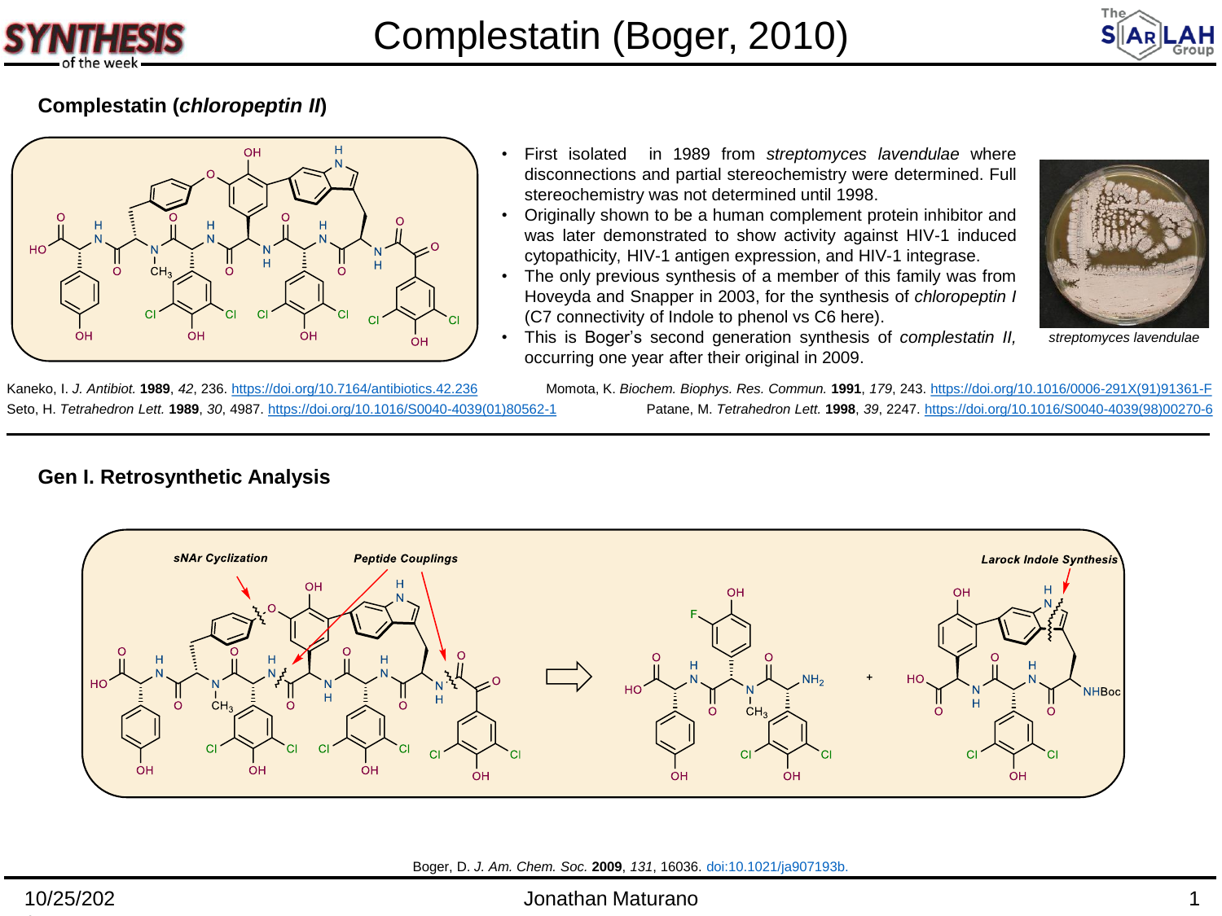



## **Complestatin (***chloropeptin II***)**

**Gen I. Retrosynthetic Analysis** 



- First isolated in 1989 from *streptomyces lavendulae* where disconnections and partial stereochemistry were determined. Full stereochemistry was not determined until 1998.
- Originally shown to be a human complement protein inhibitor and was later demonstrated to show activity against HIV-1 induced cytopathicity, HIV-1 antigen expression, and HIV-1 integrase.
- The only previous synthesis of a member of this family was from Hoveyda and Snapper in 2003, for the synthesis of *chloropeptin I* (C7 connectivity of Indole to phenol vs C6 here).



- *streptomyces lavendulae*
- This is Boger's second generation synthesis of *complestatin II,* occurring one year after their original in 2009.

Kaneko, I. *J. Antibiot.* **1989**, *42*, 236.<https://doi.org/10.7164/antibiotics.42.236>

Seto, H. *Tetrahedron Lett.* **1989**, *30*, 4987. [https://doi.org/10.1016/S0040-4039\(01\)80562-1](https://doi.org/10.1016/S0040-4039(01)80562-1) Patane, M. *Tetrahedron Lett.* **1998**, *39*, 2247. [https://doi.org/10.1016/S0040-4039\(98\)00270-6](https://doi.org/10.1016/S0040-4039(98)00270-6) Momota, K. *Biochem. Biophys. Res. Commun.* **1991**, *179*, 243. [https://doi.org/10.1016/0006-291X\(91\)91361-F](https://doi.org/10.1016/0006-291X(91)91361-F)



Boger, D. *J. Am. Chem. Soc.* **2009**, *131*, 16036. doi:10.1021/ja907193b.

#### Jonathan Maturano 1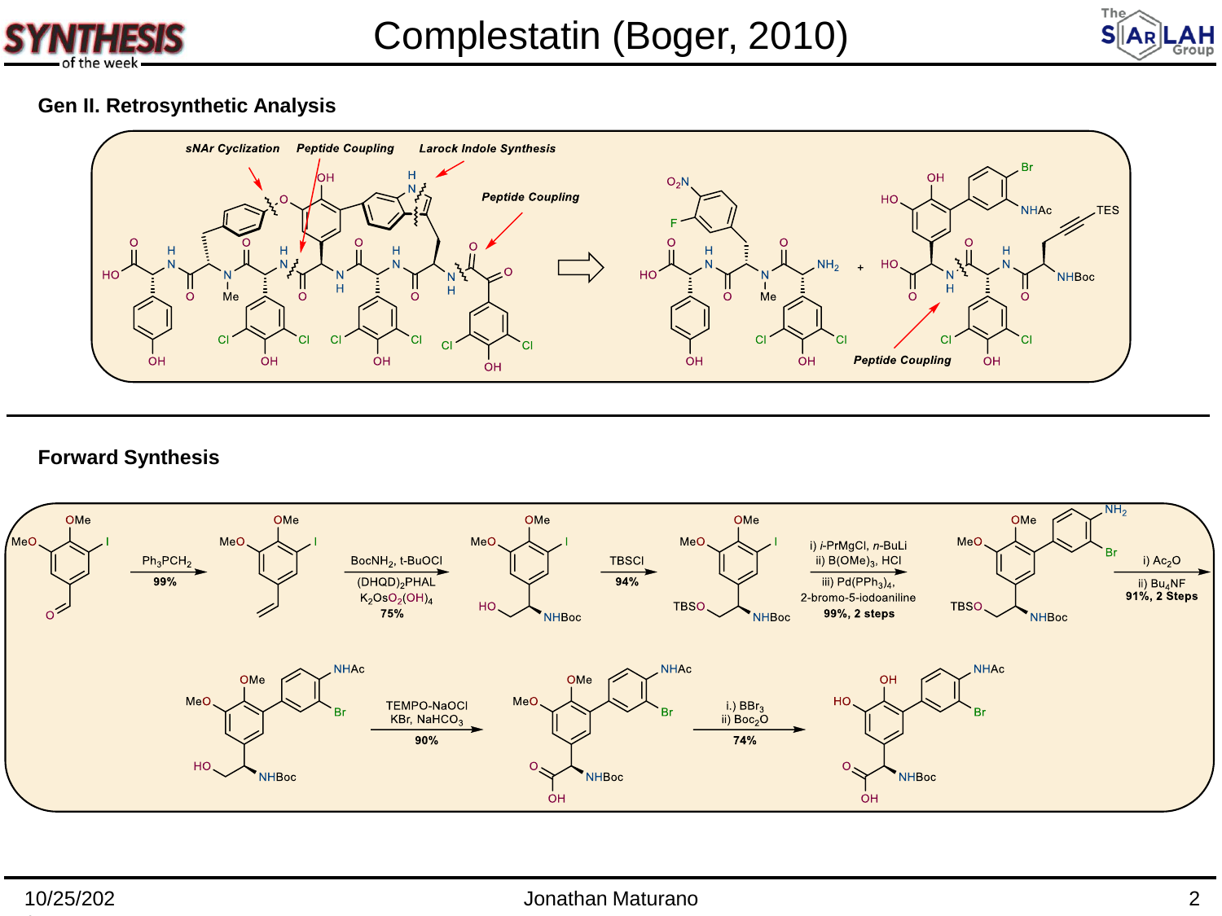



### **Gen II. Retrosynthetic Analysis**



#### **Forward Synthesis**

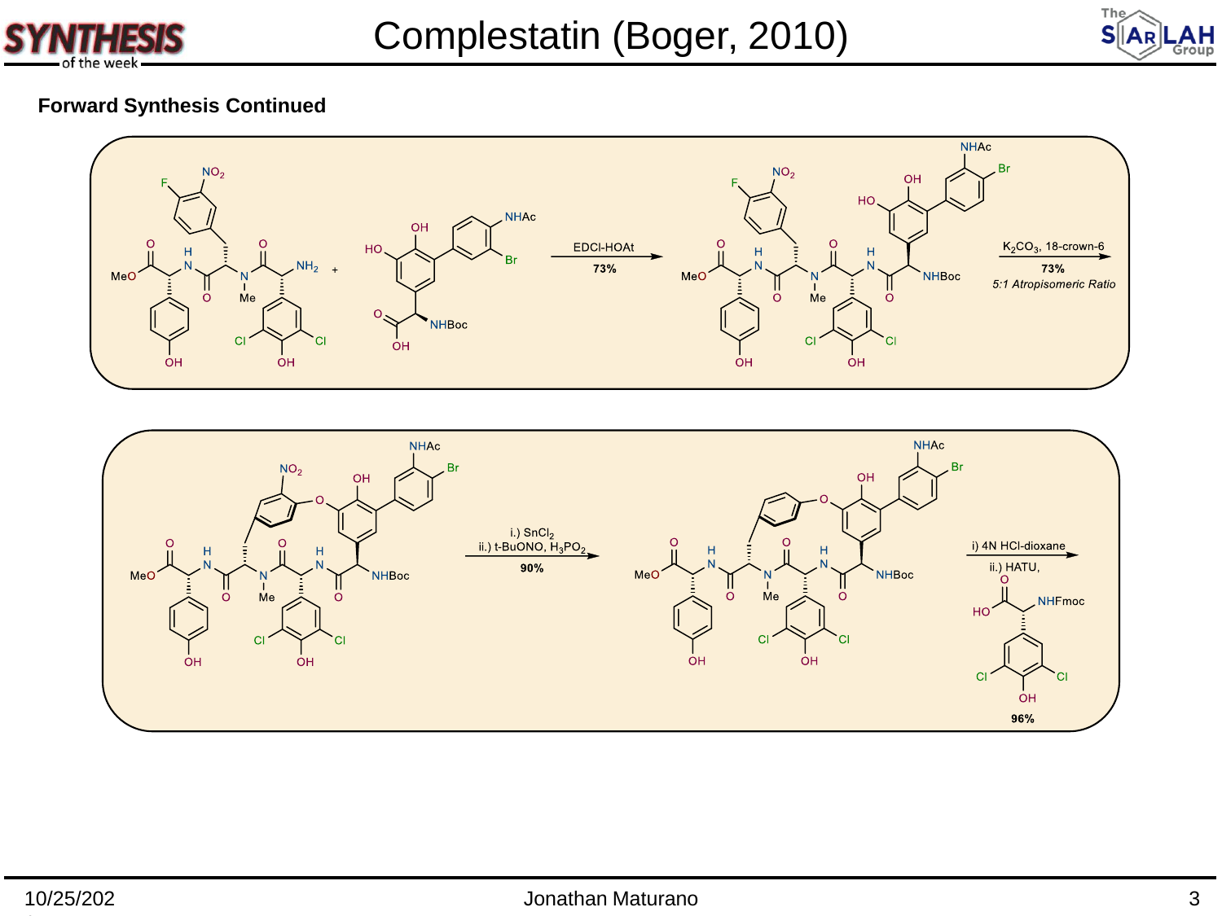



# **Forward Synthesis Continued**



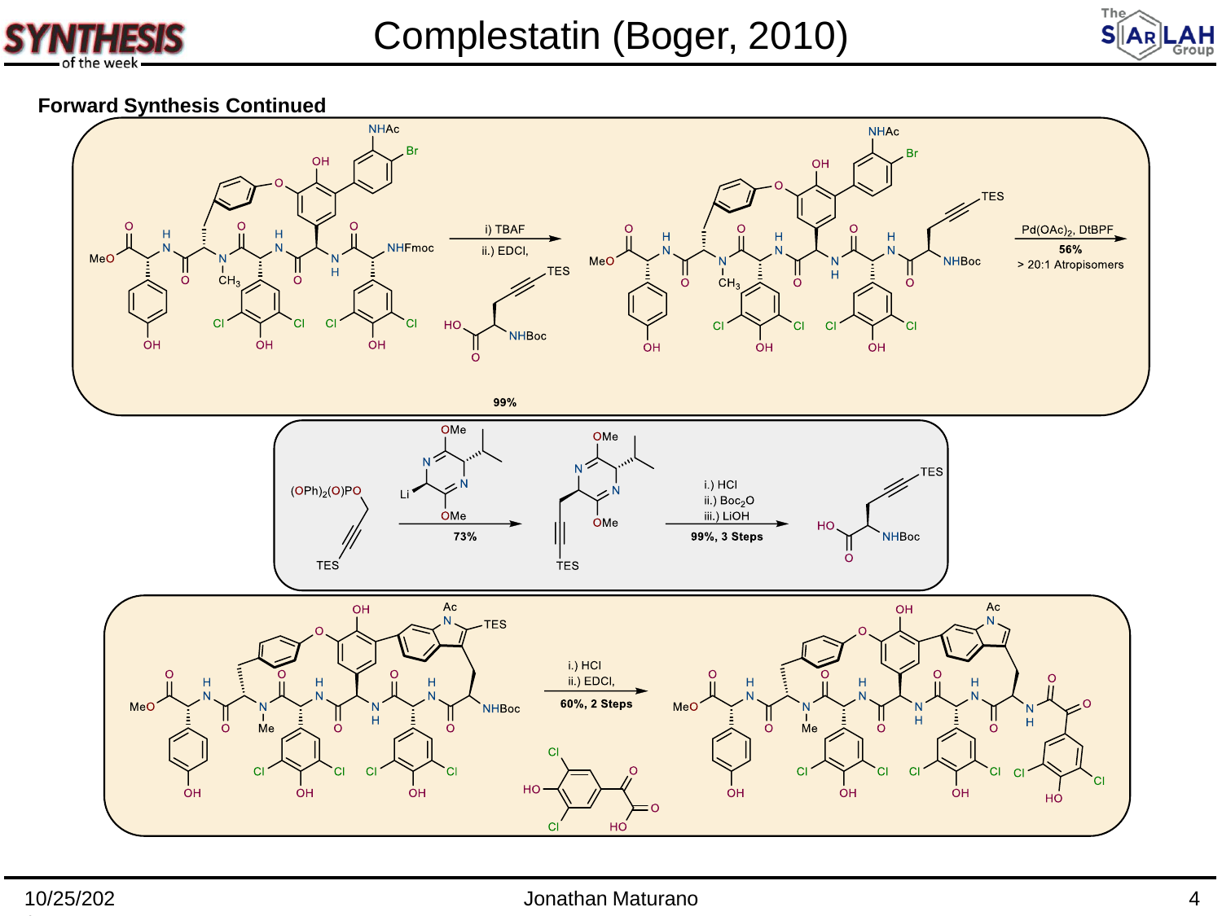



### **Forward Synthesis Continued**